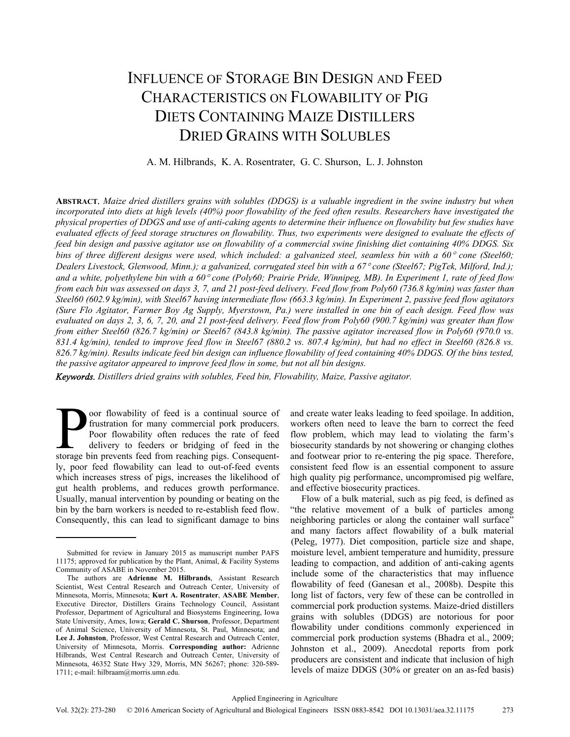# INFLUENCE OF STORAGE BIN DESIGN AND FEED CHARACTERISTICS ON FLOWABILITY OF PIG DIETS CONTAINING MAIZE DISTILLERS DRIED GRAINS WITH SOLUBLES

# A. M. Hilbrands, K. A. Rosentrater, G. C. Shurson, L. J. Johnston

**ABSTRACT***. Maize dried distillers grains with solubles (DDGS) is a valuable ingredient in the swine industry but when incorporated into diets at high levels (40%) poor flowability of the feed often results. Researchers have investigated the physical properties of DDGS and use of anti-caking agents to determine their influence on flowability but few studies have evaluated effects of feed storage structures on flowability. Thus, two experiments were designed to evaluate the effects of feed bin design and passive agitator use on flowability of a commercial swine finishing diet containing 40% DDGS. Six bins of three different designs were used, which included: a galvanized steel, seamless bin with a 60*° *cone (Steel60; Dealers Livestock, Glenwood, Minn.); a galvanized, corrugated steel bin with a 67*° *cone (Steel67; PigTek, Milford, Ind.); and a white, polyethylene bin with a 60*° *cone (Poly60; Prairie Pride, Winnipeg, MB). In Experiment 1, rate of feed flow from each bin was assessed on days 3, 7, and 21 post-feed delivery. Feed flow from Poly60 (736.8 kg/min) was faster than Steel60 (602.9 kg/min), with Steel67 having intermediate flow (663.3 kg/min). In Experiment 2, passive feed flow agitators (Sure Flo Agitator, Farmer Boy Ag Supply, Myerstown, Pa.) were installed in one bin of each design. Feed flow was evaluated on days 2, 3, 6, 7, 20, and 21 post-feed delivery. Feed flow from Poly60 (900.7 kg/min) was greater than flow from either Steel60 (826.7 kg/min) or Steel67 (843.8 kg/min). The passive agitator increased flow in Poly60 (970.0 vs. 831.4 kg/min), tended to improve feed flow in Steel67 (880.2 vs. 807.4 kg/min), but had no effect in Steel60 (826.8 vs. 826.7 kg/min). Results indicate feed bin design can influence flowability of feed containing 40% DDGS. Of the bins tested, the passive agitator appeared to improve feed flow in some, but not all bin designs.* 

*Keywords. Distillers dried grains with solubles, Feed bin, Flowability, Maize, Passive agitator.* 

oor flowability of feed is a continual source of frustration for many commercial pork producers. Poor flowability often reduces the rate of feed delivery to feeders or bridging of feed in the Frustration for many commercial pork producers.<br>
Poor flowability often reduces the rate of feed delivery to feeders or bridging of feed in the storage bin prevents feed from reaching pigs. Consequently, poor feed flowability can lead to out-of-feed events which increases stress of pigs, increases the likelihood of gut health problems, and reduces growth performance. Usually, manual intervention by pounding or beating on the bin by the barn workers is needed to re-establish feed flow. Consequently, this can lead to significant damage to bins

and create water leaks leading to feed spoilage. In addition, workers often need to leave the barn to correct the feed flow problem, which may lead to violating the farm's biosecurity standards by not showering or changing clothes and footwear prior to re-entering the pig space. Therefore, consistent feed flow is an essential component to assure high quality pig performance, uncompromised pig welfare, and effective biosecurity practices.

Flow of a bulk material, such as pig feed, is defined as "the relative movement of a bulk of particles among neighboring particles or along the container wall surface" and many factors affect flowability of a bulk material (Peleg, 1977). Diet composition, particle size and shape, moisture level, ambient temperature and humidity, pressure leading to compaction, and addition of anti-caking agents include some of the characteristics that may influence flowability of feed (Ganesan et al., 2008b). Despite this long list of factors, very few of these can be controlled in commercial pork production systems. Maize-dried distillers grains with solubles (DDGS) are notorious for poor flowability under conditions commonly experienced in commercial pork production systems (Bhadra et al., 2009; Johnston et al., 2009). Anecdotal reports from pork producers are consistent and indicate that inclusion of high levels of maize DDGS (30% or greater on an as-fed basis)

Submitted for review in January 2015 as manuscript number PAFS 11175; approved for publication by the Plant, Animal, & Facility Systems Community of ASABE in November 2015.

The authors are **Adrienne M. Hilbrands**, Assistant Research Scientist, West Central Research and Outreach Center, University of Minnesota, Morris, Minnesota; **Kurt A. Rosentrater**, **ASABE Member**, Executive Director, Distillers Grains Technology Council, Assistant Professor, Department of Agricultural and Biosystems Engineering, Iowa State University, Ames, Iowa; **Gerald C. Shurson**, Professor, Department of Animal Science, University of Minnesota, St. Paul, Minnesota; and **Lee J. Johnston**, Professor, West Central Research and Outreach Center, University of Minnesota, Morris. **Corresponding author:** Adrienne Hilbrands, West Central Research and Outreach Center, University of Minnesota, 46352 State Hwy 329, Morris, MN 56267; phone: 320-589- 1711; e-mail: hilbraam@morris.umn.edu.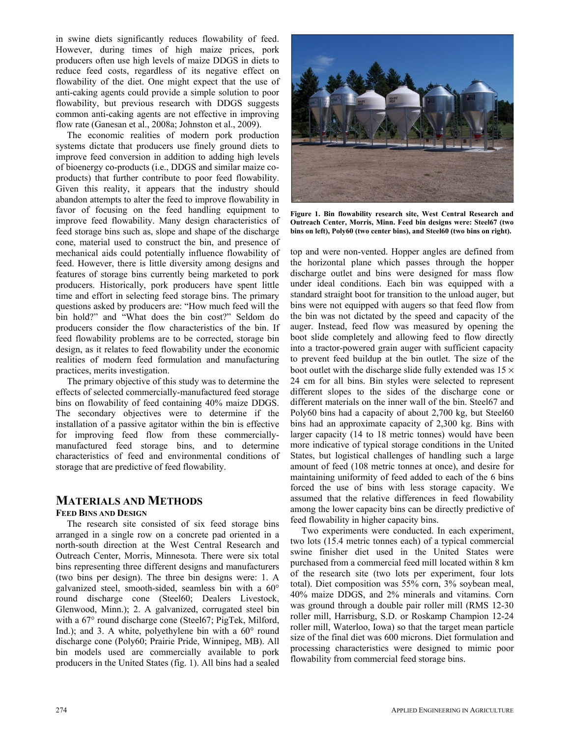in swine diets significantly reduces flowability of feed. However, during times of high maize prices, pork producers often use high levels of maize DDGS in diets to reduce feed costs, regardless of its negative effect on flowability of the diet. One might expect that the use of anti-caking agents could provide a simple solution to poor flowability, but previous research with DDGS suggests common anti-caking agents are not effective in improving flow rate (Ganesan et al., 2008a; Johnston et al., 2009).

The economic realities of modern pork production systems dictate that producers use finely ground diets to improve feed conversion in addition to adding high levels of bioenergy co-products (i.e., DDGS and similar maize coproducts) that further contribute to poor feed flowability. Given this reality, it appears that the industry should abandon attempts to alter the feed to improve flowability in favor of focusing on the feed handling equipment to improve feed flowability. Many design characteristics of feed storage bins such as, slope and shape of the discharge cone, material used to construct the bin, and presence of mechanical aids could potentially influence flowability of feed. However, there is little diversity among designs and features of storage bins currently being marketed to pork producers. Historically, pork producers have spent little time and effort in selecting feed storage bins. The primary questions asked by producers are: "How much feed will the bin hold?" and "What does the bin cost?" Seldom do producers consider the flow characteristics of the bin. If feed flowability problems are to be corrected, storage bin design, as it relates to feed flowability under the economic realities of modern feed formulation and manufacturing practices, merits investigation.

The primary objective of this study was to determine the effects of selected commercially-manufactured feed storage bins on flowability of feed containing 40% maize DDGS. The secondary objectives were to determine if the installation of a passive agitator within the bin is effective for improving feed flow from these commerciallymanufactured feed storage bins, and to determine characteristics of feed and environmental conditions of storage that are predictive of feed flowability.

# **MATERIALS AND METHODS**

## **FEED BINS AND DESIGN**

The research site consisted of six feed storage bins arranged in a single row on a concrete pad oriented in a north-south direction at the West Central Research and Outreach Center, Morris, Minnesota. There were six total bins representing three different designs and manufacturers (two bins per design). The three bin designs were: 1. A galvanized steel, smooth-sided, seamless bin with a 60° round discharge cone (Steel60; Dealers Livestock, Glenwood, Minn.); 2. A galvanized, corrugated steel bin with a 67° round discharge cone (Steel67; PigTek, Milford, Ind.); and 3. A white, polyethylene bin with a  $60^{\circ}$  round discharge cone (Poly60; Prairie Pride, Winnipeg, MB). All bin models used are commercially available to pork producers in the United States (fig. 1). All bins had a sealed



**Figure 1. Bin flowability research site, West Central Research and Outreach Center, Morris, Minn. Feed bin designs were: Steel67 (two bins on left), Poly60 (two center bins), and Steel60 (two bins on right).**

top and were non-vented. Hopper angles are defined from the horizontal plane which passes through the hopper discharge outlet and bins were designed for mass flow under ideal conditions. Each bin was equipped with a standard straight boot for transition to the unload auger, but bins were not equipped with augers so that feed flow from the bin was not dictated by the speed and capacity of the auger. Instead, feed flow was measured by opening the boot slide completely and allowing feed to flow directly into a tractor-powered grain auger with sufficient capacity to prevent feed buildup at the bin outlet. The size of the boot outlet with the discharge slide fully extended was  $15 \times$ 24 cm for all bins. Bin styles were selected to represent different slopes to the sides of the discharge cone or different materials on the inner wall of the bin. Steel67 and Poly60 bins had a capacity of about 2,700 kg, but Steel60 bins had an approximate capacity of 2,300 kg. Bins with larger capacity (14 to 18 metric tonnes) would have been more indicative of typical storage conditions in the United States, but logistical challenges of handling such a large amount of feed (108 metric tonnes at once), and desire for maintaining uniformity of feed added to each of the 6 bins forced the use of bins with less storage capacity. We assumed that the relative differences in feed flowability among the lower capacity bins can be directly predictive of feed flowability in higher capacity bins.

Two experiments were conducted. In each experiment, two lots (15.4 metric tonnes each) of a typical commercial swine finisher diet used in the United States were purchased from a commercial feed mill located within 8 km of the research site (two lots per experiment, four lots total). Diet composition was 55% corn, 3% soybean meal, 40% maize DDGS, and 2% minerals and vitamins. Corn was ground through a double pair roller mill (RMS 12-30 roller mill, Harrisburg, S.D. or Roskamp Champion 12-24 roller mill, Waterloo, Iowa) so that the target mean particle size of the final diet was 600 microns. Diet formulation and processing characteristics were designed to mimic poor flowability from commercial feed storage bins.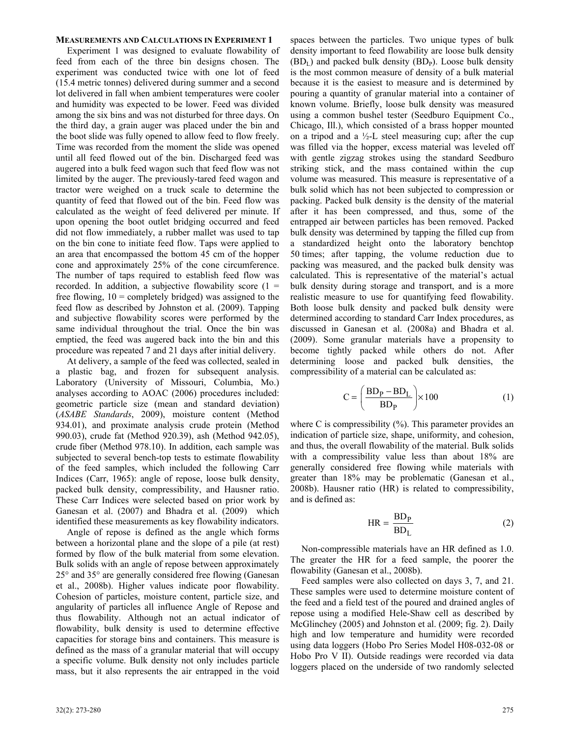## **MEASUREMENTS AND CALCULATIONS IN EXPERIMENT 1**

Experiment 1 was designed to evaluate flowability of feed from each of the three bin designs chosen. The experiment was conducted twice with one lot of feed (15.4 metric tonnes) delivered during summer and a second lot delivered in fall when ambient temperatures were cooler and humidity was expected to be lower. Feed was divided among the six bins and was not disturbed for three days. On the third day, a grain auger was placed under the bin and the boot slide was fully opened to allow feed to flow freely. Time was recorded from the moment the slide was opened until all feed flowed out of the bin. Discharged feed was augered into a bulk feed wagon such that feed flow was not limited by the auger. The previously-tared feed wagon and tractor were weighed on a truck scale to determine the quantity of feed that flowed out of the bin. Feed flow was calculated as the weight of feed delivered per minute. If upon opening the boot outlet bridging occurred and feed did not flow immediately, a rubber mallet was used to tap on the bin cone to initiate feed flow. Taps were applied to an area that encompassed the bottom 45 cm of the hopper cone and approximately 25% of the cone circumference. The number of taps required to establish feed flow was recorded. In addition, a subjective flowability score  $(1 =$ free flowing,  $10 =$  completely bridged) was assigned to the feed flow as described by Johnston et al. (2009). Tapping and subjective flowability scores were performed by the same individual throughout the trial. Once the bin was emptied, the feed was augered back into the bin and this procedure was repeated 7 and 21 days after initial delivery.

At delivery, a sample of the feed was collected, sealed in a plastic bag, and frozen for subsequent analysis. Laboratory (University of Missouri, Columbia, Mo.) analyses according to AOAC (2006) procedures included: geometric particle size (mean and standard deviation) (*ASABE Standards*, 2009), moisture content (Method 934.01), and proximate analysis crude protein (Method 990.03), crude fat (Method 920.39), ash (Method 942.05), crude fiber (Method 978.10). In addition, each sample was subjected to several bench-top tests to estimate flowability of the feed samples, which included the following Carr Indices (Carr, 1965): angle of repose, loose bulk density, packed bulk density, compressibility, and Hausner ratio. These Carr Indices were selected based on prior work by Ganesan et al. (2007) and Bhadra et al. (2009) which identified these measurements as key flowability indicators.

Angle of repose is defined as the angle which forms between a horizontal plane and the slope of a pile (at rest) formed by flow of the bulk material from some elevation. Bulk solids with an angle of repose between approximately 25° and 35° are generally considered free flowing (Ganesan et al., 2008b). Higher values indicate poor flowability. Cohesion of particles, moisture content, particle size, and angularity of particles all influence Angle of Repose and thus flowability. Although not an actual indicator of flowability, bulk density is used to determine effective capacities for storage bins and containers. This measure is defined as the mass of a granular material that will occupy a specific volume. Bulk density not only includes particle mass, but it also represents the air entrapped in the void

spaces between the particles. Two unique types of bulk density important to feed flowability are loose bulk density  $(BD<sub>L</sub>)$  and packed bulk density  $(BD<sub>P</sub>)$ . Loose bulk density is the most common measure of density of a bulk material because it is the easiest to measure and is determined by pouring a quantity of granular material into a container of known volume. Briefly, loose bulk density was measured using a common bushel tester (Seedburo Equipment Co., Chicago, Ill.), which consisted of a brass hopper mounted on a tripod and a  $\frac{1}{2}$ -L steel measuring cup; after the cup was filled via the hopper, excess material was leveled off with gentle zigzag strokes using the standard Seedburo striking stick, and the mass contained within the cup volume was measured. This measure is representative of a bulk solid which has not been subjected to compression or packing. Packed bulk density is the density of the material after it has been compressed, and thus, some of the entrapped air between particles has been removed. Packed bulk density was determined by tapping the filled cup from a standardized height onto the laboratory benchtop 50 times; after tapping, the volume reduction due to packing was measured, and the packed bulk density was calculated. This is representative of the material's actual bulk density during storage and transport, and is a more realistic measure to use for quantifying feed flowability. Both loose bulk density and packed bulk density were determined according to standard Carr Index procedures, as discussed in Ganesan et al. (2008a) and Bhadra et al. (2009). Some granular materials have a propensity to become tightly packed while others do not. After determining loose and packed bulk densities, the compressibility of a material can be calculated as:

$$
C = \left(\frac{BD_{P} - BD_{L}}{BD_{P}}\right) \times 100\tag{1}
$$

where C is compressibility  $(\% )$ . This parameter provides an indication of particle size, shape, uniformity, and cohesion, and thus, the overall flowability of the material. Bulk solids with a compressibility value less than about 18% are generally considered free flowing while materials with greater than 18% may be problematic (Ganesan et al., 2008b). Hausner ratio (HR) is related to compressibility, and is defined as:

$$
HR = \frac{BD_P}{BD_L} \tag{2}
$$

Non-compressible materials have an HR defined as 1.0. The greater the HR for a feed sample, the poorer the flowability (Ganesan et al., 2008b).

Feed samples were also collected on days 3, 7, and 21. These samples were used to determine moisture content of the feed and a field test of the poured and drained angles of repose using a modified Hele-Shaw cell as described by McGlinchey (2005) and Johnston et al. (2009; fig. 2). Daily high and low temperature and humidity were recorded using data loggers (Hobo Pro Series Model H08-032-08 or Hobo Pro V II). Outside readings were recorded via data loggers placed on the underside of two randomly selected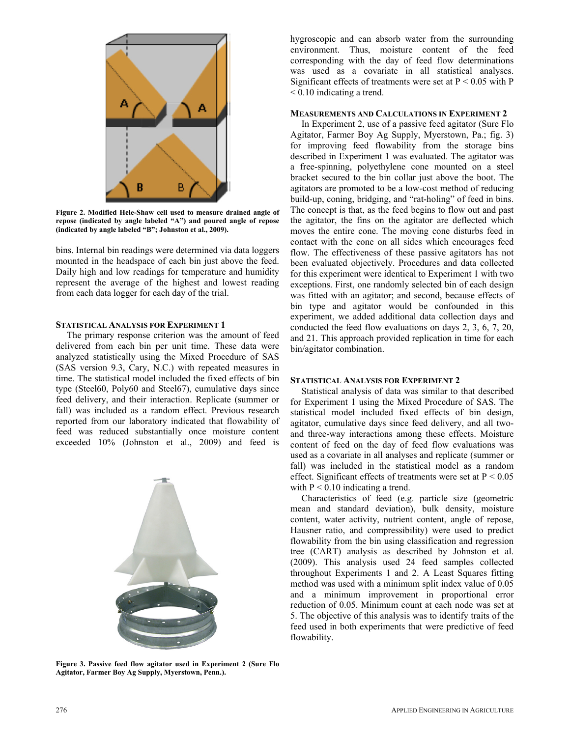

**Figure 2. Modified Hele-Shaw cell used to measure drained angle of repose (indicated by angle labeled "A") and poured angle of repose (indicated by angle labeled "B"; Johnston et al., 2009).** 

bins. Internal bin readings were determined via data loggers mounted in the headspace of each bin just above the feed. Daily high and low readings for temperature and humidity represent the average of the highest and lowest reading from each data logger for each day of the trial.

#### **STATISTICAL ANALYSIS FOR EXPERIMENT 1**

The primary response criterion was the amount of feed delivered from each bin per unit time. These data were analyzed statistically using the Mixed Procedure of SAS (SAS version 9.3, Cary, N.C.) with repeated measures in time. The statistical model included the fixed effects of bin type (Steel60, Poly60 and Steel67), cumulative days since feed delivery, and their interaction. Replicate (summer or fall) was included as a random effect. Previous research reported from our laboratory indicated that flowability of feed was reduced substantially once moisture content exceeded 10% (Johnston et al., 2009) and feed is



**Figure 3. Passive feed flow agitator used in Experiment 2 (Sure Flo Agitator, Farmer Boy Ag Supply, Myerstown, Penn.).** 

hygroscopic and can absorb water from the surrounding environment. Thus, moisture content of the feed corresponding with the day of feed flow determinations was used as a covariate in all statistical analyses. Significant effects of treatments were set at  $P < 0.05$  with P < 0.10 indicating a trend.

#### **MEASUREMENTS AND CALCULATIONS IN EXPERIMENT 2**

In Experiment 2, use of a passive feed agitator (Sure Flo Agitator, Farmer Boy Ag Supply, Myerstown, Pa.; fig. 3) for improving feed flowability from the storage bins described in Experiment 1 was evaluated. The agitator was a free-spinning, polyethylene cone mounted on a steel bracket secured to the bin collar just above the boot. The agitators are promoted to be a low-cost method of reducing build-up, coning, bridging, and "rat-holing" of feed in bins. The concept is that, as the feed begins to flow out and past the agitator, the fins on the agitator are deflected which moves the entire cone. The moving cone disturbs feed in contact with the cone on all sides which encourages feed flow. The effectiveness of these passive agitators has not been evaluated objectively. Procedures and data collected for this experiment were identical to Experiment 1 with two exceptions. First, one randomly selected bin of each design was fitted with an agitator; and second, because effects of bin type and agitator would be confounded in this experiment, we added additional data collection days and conducted the feed flow evaluations on days 2, 3, 6, 7, 20, and 21. This approach provided replication in time for each bin/agitator combination.

#### **STATISTICAL ANALYSIS FOR EXPERIMENT 2**

Statistical analysis of data was similar to that described for Experiment 1 using the Mixed Procedure of SAS. The statistical model included fixed effects of bin design, agitator, cumulative days since feed delivery, and all twoand three-way interactions among these effects. Moisture content of feed on the day of feed flow evaluations was used as a covariate in all analyses and replicate (summer or fall) was included in the statistical model as a random effect. Significant effects of treatments were set at  $P < 0.05$ with  $P \le 0.10$  indicating a trend.

Characteristics of feed (e.g. particle size (geometric mean and standard deviation), bulk density, moisture content, water activity, nutrient content, angle of repose, Hausner ratio, and compressibility) were used to predict flowability from the bin using classification and regression tree (CART) analysis as described by Johnston et al. (2009). This analysis used 24 feed samples collected throughout Experiments 1 and 2. A Least Squares fitting method was used with a minimum split index value of 0.05 and a minimum improvement in proportional error reduction of 0.05. Minimum count at each node was set at 5. The objective of this analysis was to identify traits of the feed used in both experiments that were predictive of feed flowability.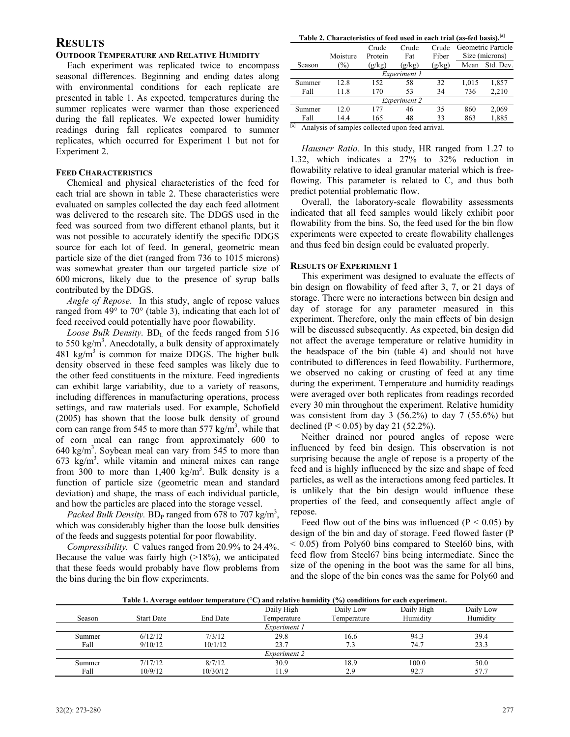## **RESULTS**

#### **OUTDOOR TEMPERATURE AND RELATIVE HUMIDITY**

Each experiment was replicated twice to encompass seasonal differences. Beginning and ending dates along with environmental conditions for each replicate are presented in table 1. As expected, temperatures during the summer replicates were warmer than those experienced during the fall replicates. We expected lower humidity readings during fall replicates compared to summer replicates, which occurred for Experiment 1 but not for Experiment 2.

## **FEED CHARACTERISTICS**

Chemical and physical characteristics of the feed for each trial are shown in table 2. These characteristics were evaluated on samples collected the day each feed allotment was delivered to the research site. The DDGS used in the feed was sourced from two different ethanol plants, but it was not possible to accurately identify the specific DDGS source for each lot of feed. In general, geometric mean particle size of the diet (ranged from 736 to 1015 microns) was somewhat greater than our targeted particle size of 600 microns, likely due to the presence of syrup balls contributed by the DDGS.

*Angle of Repose*. In this study, angle of repose values ranged from 49° to 70° (table 3), indicating that each lot of feed received could potentially have poor flowability.

Loose Bulk Density. BD<sub>L</sub> of the feeds ranged from 516 to 550 kg/m<sup>3</sup>. Anecdotally, a bulk density of approximately  $481 \text{ kg/m}^3$  is common for maize DDGS. The higher bulk density observed in these feed samples was likely due to the other feed constituents in the mixture. Feed ingredients can exhibit large variability, due to a variety of reasons, including differences in manufacturing operations, process settings, and raw materials used. For example, Schofield (2005) has shown that the loose bulk density of ground corn can range from 545 to more than 577 kg/m<sup>3</sup>, while that of corn meal can range from approximately 600 to  $640 \text{ kg/m}^3$ . Soybean meal can vary from 545 to more than  $673 \text{ kg/m}^3$ , while vitamin and mineral mixes can range from 300 to more than  $1,400 \text{ kg/m}^3$ . Bulk density is a function of particle size (geometric mean and standard deviation) and shape, the mass of each individual particle, and how the particles are placed into the storage vessel.

Packed Bulk Density. BD<sub>P</sub> ranged from 678 to 707 kg/m<sup>3</sup>, which was considerably higher than the loose bulk densities of the feeds and suggests potential for poor flowability.

*Compressibility.* C values ranged from 20.9% to 24.4%. Because the value was fairly high  $(>18%)$ , we anticipated that these feeds would probably have flow problems from the bins during the bin flow experiments.

**Table 2. Characteristics of feed used in each trial (as-fed basis).[a]**

|                                                        |              | Crude   | Crude        | Crude  | Geometric Particle |                |  |
|--------------------------------------------------------|--------------|---------|--------------|--------|--------------------|----------------|--|
|                                                        | Moisture     | Protein | Fat          | Fiber  |                    | Size (microns) |  |
| Season                                                 | $(\%)$       | (g/kg)  | (g/kg)       | (g/kg) | Mean               | Std. Dev.      |  |
|                                                        |              |         | Experiment 1 |        |                    |                |  |
| Summer                                                 | 12.8         | 152     | 58           | 32     | 1.015              | 1,857          |  |
| Fall                                                   | 11.8         | 170     | 53           | 34     | 736                | 2,210          |  |
|                                                        | Experiment 2 |         |              |        |                    |                |  |
| Summer                                                 | 12.0         | 177     | 46           | 35     | 860                | 2,069          |  |
| Fall                                                   | 14.4         | 165     | 48           | 33     | 863                | 1,885          |  |
| [a]<br>Analysis of samples collected upon feed arrival |              |         |              |        |                    |                |  |

lysis of samples collected up

*Hausner Ratio.* In this study, HR ranged from 1.27 to 1.32, which indicates a 27% to 32% reduction in flowability relative to ideal granular material which is freeflowing. This parameter is related to C, and thus both predict potential problematic flow.

Overall, the laboratory-scale flowability assessments indicated that all feed samples would likely exhibit poor flowability from the bins. So, the feed used for the bin flow experiments were expected to create flowability challenges and thus feed bin design could be evaluated properly.

## **RESULTS OF EXPERIMENT 1**

This experiment was designed to evaluate the effects of bin design on flowability of feed after 3, 7, or 21 days of storage. There were no interactions between bin design and day of storage for any parameter measured in this experiment. Therefore, only the main effects of bin design will be discussed subsequently. As expected, bin design did not affect the average temperature or relative humidity in the headspace of the bin (table 4) and should not have contributed to differences in feed flowability. Furthermore, we observed no caking or crusting of feed at any time during the experiment. Temperature and humidity readings were averaged over both replicates from readings recorded every 30 min throughout the experiment. Relative humidity was consistent from day  $3$  (56.2%) to day  $7$  (55.6%) but declined ( $P < 0.05$ ) by day 21 (52.2%).

Neither drained nor poured angles of repose were influenced by feed bin design. This observation is not surprising because the angle of repose is a property of the feed and is highly influenced by the size and shape of feed particles, as well as the interactions among feed particles. It is unlikely that the bin design would influence these properties of the feed, and consequently affect angle of repose.

Feed flow out of the bins was influenced ( $P < 0.05$ ) by design of the bin and day of storage. Feed flowed faster (P  $< 0.05$ ) from Poly60 bins compared to Steel60 bins, with feed flow from Steel67 bins being intermediate. Since the size of the opening in the boot was the same for all bins, and the slope of the bin cones was the same for Poly60 and

|        | Table 1. Average outdoor temperature $(\text{°C})$ and relative humidity $(\%)$ conditions for each experiment. |          |             |             |            |           |  |  |  |
|--------|-----------------------------------------------------------------------------------------------------------------|----------|-------------|-------------|------------|-----------|--|--|--|
|        |                                                                                                                 |          | Daily High  | Daily Low   | Daily High | Daily Low |  |  |  |
| Season | <b>Start Date</b>                                                                                               | End Date | Temperature | Temperature | Humidity   | Humidity  |  |  |  |
|        | Experiment 1                                                                                                    |          |             |             |            |           |  |  |  |
| Summer | 6/12/12                                                                                                         | 7/3/12   | 29.8        | 16.6        | 94.3       | 39.4      |  |  |  |
| Fall   | 9/10/12                                                                                                         | 10/1/12  | 23.7        | 7.3         | 74.7       | 23.3      |  |  |  |
|        | Experiment 2                                                                                                    |          |             |             |            |           |  |  |  |
| Summer | 7/17/12                                                                                                         | 8/7/12   | 30.9        | 18.9        | 100.0      | 50.0      |  |  |  |
| Fall   | 10/9/12                                                                                                         | 10/30/12 | 11.9        | 2.9         | 92.7       | 57.7      |  |  |  |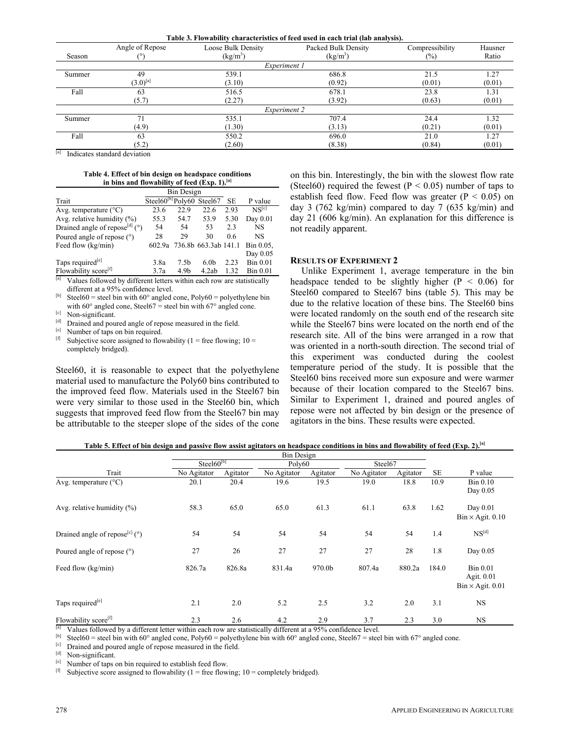| Table 3. Flowability characteristics of feed used in each trial (lab analysis). |  |  |
|---------------------------------------------------------------------------------|--|--|
|                                                                                 |  |  |

|        | Angle of Repose              | Loose Bulk Density   | Packed Bulk Density | Compressibility | Hausner |
|--------|------------------------------|----------------------|---------------------|-----------------|---------|
| Season |                              | (kg/m <sup>3</sup> ) | $(kg/m^3)$          | $(\%)$          | Ratio   |
|        |                              |                      | Experiment 1        |                 |         |
| Summer | 49                           | 539.1                | 686.8               | 21.5            | 1.27    |
|        | $(3.0)^{[a]}$                | (3.10)               | (0.92)              | (0.01)          | (0.01)  |
| Fall   | 63                           | 516.5                | 678.1               | 23.8            | 1.31    |
|        | (5.7)                        | (2.27)               | (3.92)              | (0.63)          | (0.01)  |
|        |                              |                      | Experiment 2        |                 |         |
| Summer | 71                           | 535.1                | 707.4               | 24.4            | 1.32    |
|        | (4.9)                        | (1.30)               | (3.13)              | (0.21)          | (0.01)  |
| Fall   | 63                           | 550.2                | 696.0               | 21.0            | 1.27    |
|        | (5.2)                        | (2.60)               | (8.38)              | (0.84)          | (0.01)  |
| [a]    | Indicates standard deviation |                      |                     |                 |         |

#### **Table 4. Effect of bin design on headspace conditions in bins and flowability of feed (Exp. 1).[a]**

|                                                      |                                       | <b>Bin Design</b> |                      |           |                   |
|------------------------------------------------------|---------------------------------------|-------------------|----------------------|-----------|-------------------|
| Trait                                                | Steel60 <sup>[b]</sup> Poly60 Steel67 |                   |                      | <b>SE</b> | P value           |
| Avg. temperature $(^{\circ}C)$                       | 23.6                                  | 22.9              | 22.6                 | 2.93      | NS <sup>[c]</sup> |
| Avg. relative humidity $(\%)$                        | 55.3                                  | 54.7              | 53.9                 | 5.30      | Day 0.01          |
| Drained angle of repose <sup>[d]</sup> ( $\degree$ ) | 54                                    | 54                | 53                   | 2.3       | <b>NS</b>         |
| Poured angle of repose $(°)$                         | 28                                    | 29                | 30                   | 0.6       | <b>NS</b>         |
| Feed flow (kg/min)                                   | 602.9a                                |                   | 736.8b 663.3ab 141.1 |           | Bin 0.05,         |
|                                                      |                                       |                   |                      |           | Day 0.05          |
| Taps required <sup>[e]</sup>                         | 3.8a                                  | 7.5b              | 6.0 <sub>b</sub>     | 2.23      | <b>Bin 0.01</b>   |
| Flowability score <sup>[f]</sup>                     | 3.7a                                  | 4.9b              | 4.2ab                | 1.32      | Bin 0.01          |

 $\begin{bmatrix} \overline{a} \\ \overline{b} \end{bmatrix}$  Values followed by different letters within each row are statistically different at a 95% confidence level.<br><sup>[b]</sup> Steel60 = steel bin with 60° angled cone, Poly60 = polyethylene bin

with 60° angled cone, Steel67 = steel bin with 67° angled cone.<br>[c] Non-significant.

 $^{[d]}$  Drained and poured angle of repose measured in the field. Number of taps on bin required.

Subjective score assigned to flowability (1 = free flowing;  $10 =$ completely bridged).

Steel60, it is reasonable to expect that the polyethylene material used to manufacture the Poly60 bins contributed to the improved feed flow. Materials used in the Steel67 bin were very similar to those used in the Steel60 bin, which suggests that improved feed flow from the Steel67 bin may be attributable to the steeper slope of the sides of the cone

on this bin. Interestingly, the bin with the slowest flow rate (Steel60) required the fewest ( $P < 0.05$ ) number of taps to establish feed flow. Feed flow was greater ( $P < 0.05$ ) on day 3 (762 kg/min) compared to day 7 (635 kg/min) and day 21 (606 kg/min). An explanation for this difference is not readily apparent.

## **RESULTS OF EXPERIMENT 2**

Unlike Experiment 1, average temperature in the bin headspace tended to be slightly higher  $(P < 0.06)$  for Steel60 compared to Steel67 bins (table 5). This may be due to the relative location of these bins. The Steel60 bins were located randomly on the south end of the research site while the Steel67 bins were located on the north end of the research site. All of the bins were arranged in a row that was oriented in a north-south direction. The second trial of this experiment was conducted during the coolest temperature period of the study. It is possible that the Steel60 bins received more sun exposure and were warmer because of their location compared to the Steel67 bins. Similar to Experiment 1, drained and poured angles of repose were not affected by bin design or the presence of agitators in the bins. These results were expected.

| Table 5. Effect of bin design and passive flow assist agitators on headspace conditions in bins and flowability of feed (Exp. 2).[a] |  |  |
|--------------------------------------------------------------------------------------------------------------------------------------|--|--|
|                                                                                                                                      |  |  |

|                                                      | Bin Design       |          |             |          |             |          |           |                                                   |
|------------------------------------------------------|------------------|----------|-------------|----------|-------------|----------|-----------|---------------------------------------------------|
|                                                      | Steel $60^{[b]}$ |          | Poly60      |          | Steel67     |          |           |                                                   |
| Trait                                                | No Agitator      | Agitator | No Agitator | Agitator | No Agitator | Agitator | <b>SE</b> | P value                                           |
| Avg. temperature $(^{\circ}C)$                       | 20.1             | 20.4     | 19.6        | 19.5     | 19.0        | 18.8     | 10.9      | Bin 0.10<br>Day 0.05                              |
| Avg. relative humidity $(\%)$                        | 58.3             | 65.0     | 65.0        | 61.3     | 61.1        | 63.8     | 1.62      | Day $0.01$<br>$Bin \times$ Agit. 0.10             |
| Drained angle of repose <sup>[c]</sup> ( $\degree$ ) | 54               | 54       | 54          | 54       | 54          | 54       | 1.4       | $NS^{[d]}$                                        |
| Poured angle of repose $(°)$                         | 27               | 26       | 27          | 27       | 27          | 28       | 1.8       | Day 0.05                                          |
| Feed flow (kg/min)                                   | 826.7a           | 826.8a   | 831.4a      | 970.0b   | 807.4a      | 880.2a   | 184.0     | Bin 0.01<br>Agit. 0.01<br>$Bin \times$ Agit. 0.01 |
| Taps required <sup>[e]</sup>                         | 2.1              | 2.0      | 5.2         | 2.5      | 3.2         | 2.0      | 3.1       | <b>NS</b>                                         |
| Flowability score <sup>[f]</sup>                     | 2.3              | 2.6      | 4.2         | 2.9      | 3.7         | 2.3      | 3.0       | <b>NS</b>                                         |

<sup>[a]</sup> Values followed by a different letter within each row are statistically different at a 95% confidence level.<br><sup>[b]</sup> Steel60 = steel bin with 60° angled cone, Poly60 = polyethylene bin with 60° angled cone, Steel67 =

<sup>[e]</sup> Non-significant.<br><sup>[e]</sup> Number of taps on bin required to establish feed flow.<br><sup>[f]</sup> Subjective score assigned to flowability (1 – free flow.

Subjective score assigned to flowability ( $1 =$  free flowing;  $10 =$  completely bridged).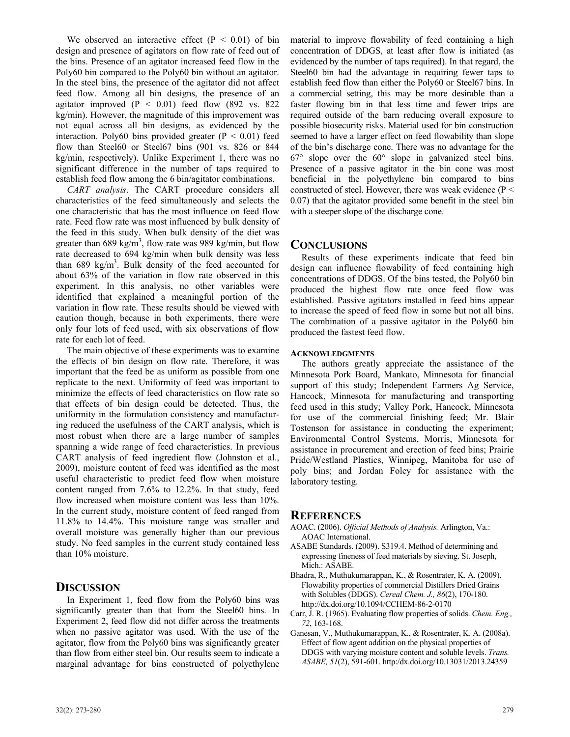We observed an interactive effect  $(P < 0.01)$  of bin design and presence of agitators on flow rate of feed out of the bins. Presence of an agitator increased feed flow in the Poly60 bin compared to the Poly60 bin without an agitator. In the steel bins, the presence of the agitator did not affect feed flow. Among all bin designs, the presence of an agitator improved  $(P < 0.01)$  feed flow  $(892 \text{ vs. } 822)$ kg/min). However, the magnitude of this improvement was not equal across all bin designs, as evidenced by the interaction. Poly60 bins provided greater  $(P < 0.01)$  feed flow than Steel60 or Steel67 bins (901 vs. 826 or 844 kg/min, respectively). Unlike Experiment 1, there was no significant difference in the number of taps required to establish feed flow among the 6 bin/agitator combinations.

*CART analysis*. The CART procedure considers all characteristics of the feed simultaneously and selects the one characteristic that has the most influence on feed flow rate. Feed flow rate was most influenced by bulk density of the feed in this study. When bulk density of the diet was greater than 689 kg/m<sup>3</sup>, flow rate was 989 kg/min, but flow rate decreased to 694 kg/min when bulk density was less than  $689 \text{ kg/m}^3$ . Bulk density of the feed accounted for about 63% of the variation in flow rate observed in this experiment. In this analysis, no other variables were identified that explained a meaningful portion of the variation in flow rate. These results should be viewed with caution though, because in both experiments, there were only four lots of feed used, with six observations of flow rate for each lot of feed.

The main objective of these experiments was to examine the effects of bin design on flow rate. Therefore, it was important that the feed be as uniform as possible from one replicate to the next. Uniformity of feed was important to minimize the effects of feed characteristics on flow rate so that effects of bin design could be detected. Thus, the uniformity in the formulation consistency and manufacturing reduced the usefulness of the CART analysis, which is most robust when there are a large number of samples spanning a wide range of feed characteristics. In previous CART analysis of feed ingredient flow (Johnston et al., 2009), moisture content of feed was identified as the most useful characteristic to predict feed flow when moisture content ranged from 7.6% to 12.2%. In that study, feed flow increased when moisture content was less than 10%. In the current study, moisture content of feed ranged from 11.8% to 14.4%. This moisture range was smaller and overall moisture was generally higher than our previous study. No feed samples in the current study contained less than 10% moisture.

# **DISCUSSION**

In Experiment 1, feed flow from the Poly60 bins was significantly greater than that from the Steel60 bins. In Experiment 2, feed flow did not differ across the treatments when no passive agitator was used. With the use of the agitator, flow from the Poly60 bins was significantly greater than flow from either steel bin. Our results seem to indicate a marginal advantage for bins constructed of polyethylene material to improve flowability of feed containing a high concentration of DDGS, at least after flow is initiated (as evidenced by the number of taps required). In that regard, the Steel60 bin had the advantage in requiring fewer taps to establish feed flow than either the Poly60 or Steel67 bins. In a commercial setting, this may be more desirable than a faster flowing bin in that less time and fewer trips are required outside of the barn reducing overall exposure to possible biosecurity risks. Material used for bin construction seemed to have a larger effect on feed flowability than slope of the bin's discharge cone. There was no advantage for the 67° slope over the 60° slope in galvanized steel bins. Presence of a passive agitator in the bin cone was most beneficial in the polyethylene bin compared to bins constructed of steel. However, there was weak evidence (P < 0.07) that the agitator provided some benefit in the steel bin with a steeper slope of the discharge cone.

# **CONCLUSIONS**

Results of these experiments indicate that feed bin design can influence flowability of feed containing high concentrations of DDGS. Of the bins tested, the Poly60 bin produced the highest flow rate once feed flow was established. Passive agitators installed in feed bins appear to increase the speed of feed flow in some but not all bins. The combination of a passive agitator in the Poly60 bin produced the fastest feed flow.

## **ACKNOWLEDGMENTS**

The authors greatly appreciate the assistance of the Minnesota Pork Board, Mankato, Minnesota for financial support of this study; Independent Farmers Ag Service, Hancock, Minnesota for manufacturing and transporting feed used in this study; Valley Pork, Hancock, Minnesota for use of the commercial finishing feed; Mr. Blair Tostenson for assistance in conducting the experiment; Environmental Control Systems, Morris, Minnesota for assistance in procurement and erection of feed bins; Prairie Pride/Westland Plastics, Winnipeg, Manitoba for use of poly bins; and Jordan Foley for assistance with the laboratory testing.

# **REFERENCES**

- AOAC. (2006). *Official Methods of Analysis.* Arlington, Va.: AOAC International.
- ASABE Standards. (2009). S319.4. Method of determining and expressing fineness of feed materials by sieving. St. Joseph, Mich.: ASABE.
- Bhadra, R., Muthukumarappan, K., & Rosentrater, K. A. (2009). Flowability properties of commercial Distillers Dried Grains with Solubles (DDGS). *Cereal Chem. J., 86*(2), 170-180. http://dx.doi.org/10.1094/CCHEM-86-2-0170
- Carr, J. R. (1965). Evaluating flow properties of solids. *Chem. Eng., 72*, 163-168.
- Ganesan, V., Muthukumarappan, K., & Rosentrater, K. A. (2008a). Effect of flow agent addition on the physical properties of DDGS with varying moisture content and soluble levels. *Trans. ASABE, 51*(2), 591-601. http:/dx.doi.org/10.13031/2013.24359